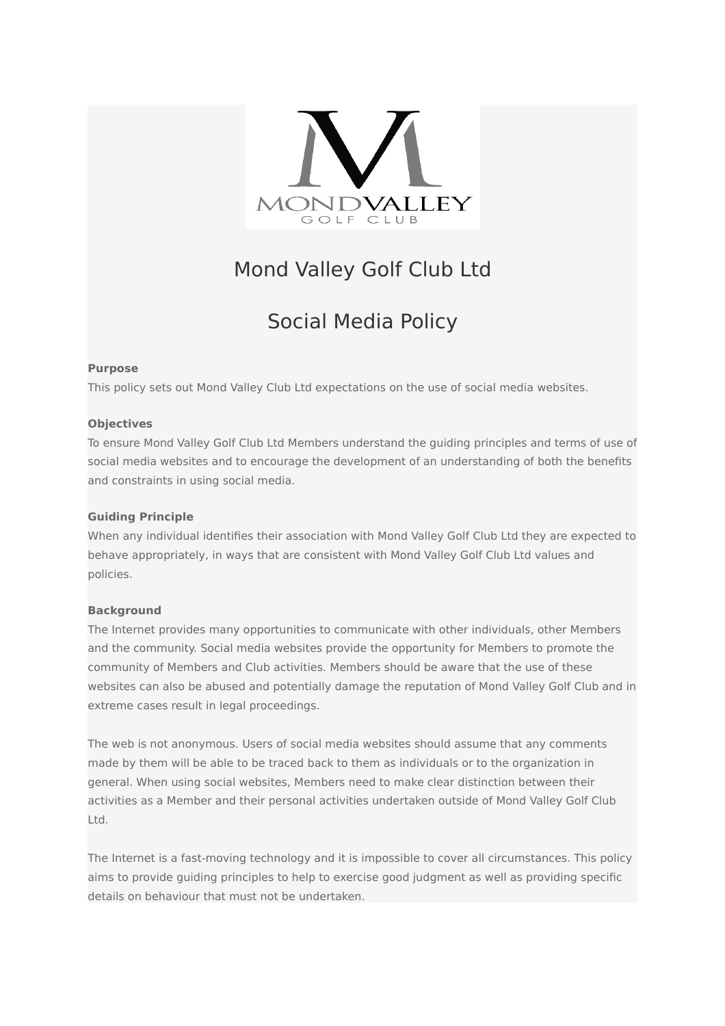

# Mond Valley Golf Club Ltd

# Social Media Policy

### **Purpose**

This policy sets out Mond Valley Club Ltd expectations on the use of social media websites.

# **Objectives**

To ensure Mond Valley Golf Club Ltd Members understand the guiding principles and terms of use of social media websites and to encourage the development of an understanding of both the benefits and constraints in using social media.

## **Guiding Principle**

When any individual identifies their association with Mond Valley Golf Club Ltd they are expected to behave appropriately, in ways that are consistent with Mond Valley Golf Club Ltd values and policies.

### **Background**

The Internet provides many opportunities to communicate with other individuals, other Members and the community. Social media websites provide the opportunity for Members to promote the community of Members and Club activities. Members should be aware that the use of these websites can also be abused and potentially damage the reputation of Mond Valley Golf Club and in extreme cases result in legal proceedings.

The web is not anonymous. Users of social media websites should assume that any comments made by them will be able to be traced back to them as individuals or to the organization in general. When using social websites, Members need to make clear distinction between their activities as a Member and their personal activities undertaken outside of Mond Valley Golf Club Ltd.

The Internet is a fast-moving technology and it is impossible to cover all circumstances. This policy aims to provide guiding principles to help to exercise good judgment as well as providing specific details on behaviour that must not be undertaken.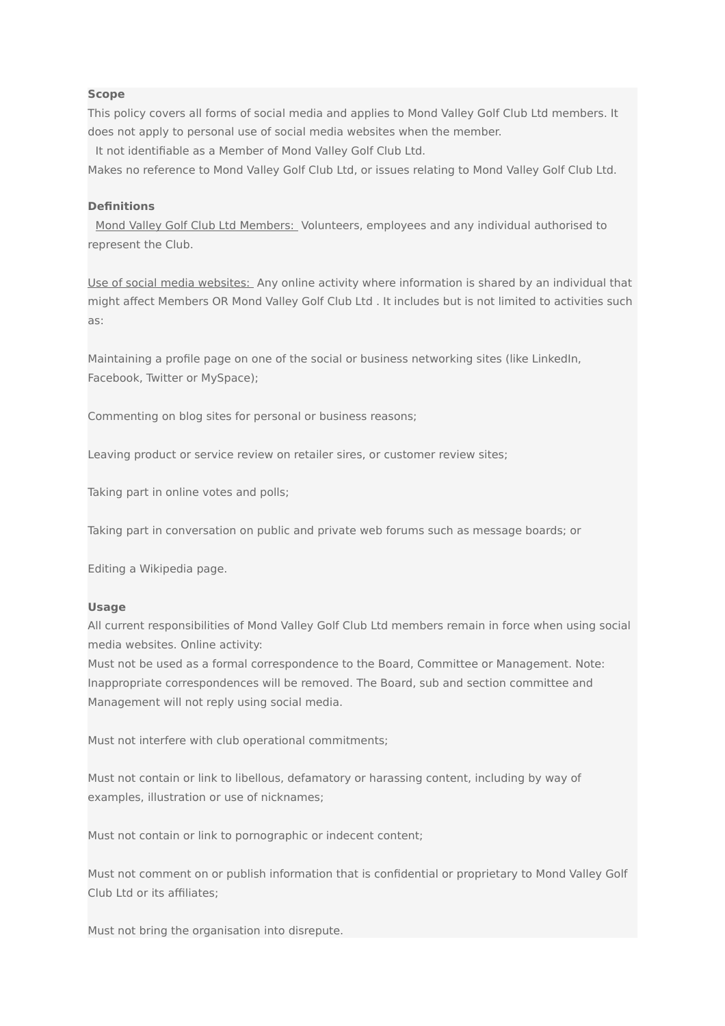#### **Scope**

This policy covers all forms of social media and applies to Mond Valley Golf Club Ltd members. It does not apply to personal use of social media websites when the member.

It not identifiable as a Member of Mond Valley Golf Club Ltd.

Makes no reference to Mond Valley Golf Club Ltd, or issues relating to Mond Valley Golf Club Ltd.

#### **Definitions**

Mond Valley Golf Club Ltd Members: Volunteers, employees and any individual authorised to represent the Club.

Use of social media websites: Any online activity where information is shared by an individual that might affect Members OR Mond Valley Golf Club Ltd . It includes but is not limited to activities such as:

Maintaining a profile page on one of the social or business networking sites (like LinkedIn, Facebook, Twitter or MySpace);

Commenting on blog sites for personal or business reasons;

Leaving product or service review on retailer sires, or customer review sites;

Taking part in online votes and polls;

Taking part in conversation on public and private web forums such as message boards; or

Editing a Wikipedia page.

#### **Usage**

All current responsibilities of Mond Valley Golf Club Ltd members remain in force when using social media websites. Online activity:

Must not be used as a formal correspondence to the Board, Committee or Management. Note: Inappropriate correspondences will be removed. The Board, sub and section committee and Management will not reply using social media.

Must not interfere with club operational commitments;

Must not contain or link to libellous, defamatory or harassing content, including by way of examples, illustration or use of nicknames;

Must not contain or link to pornographic or indecent content;

Must not comment on or publish information that is confidential or proprietary to Mond Valley Golf Club Ltd or its affiliates;

Must not bring the organisation into disrepute.